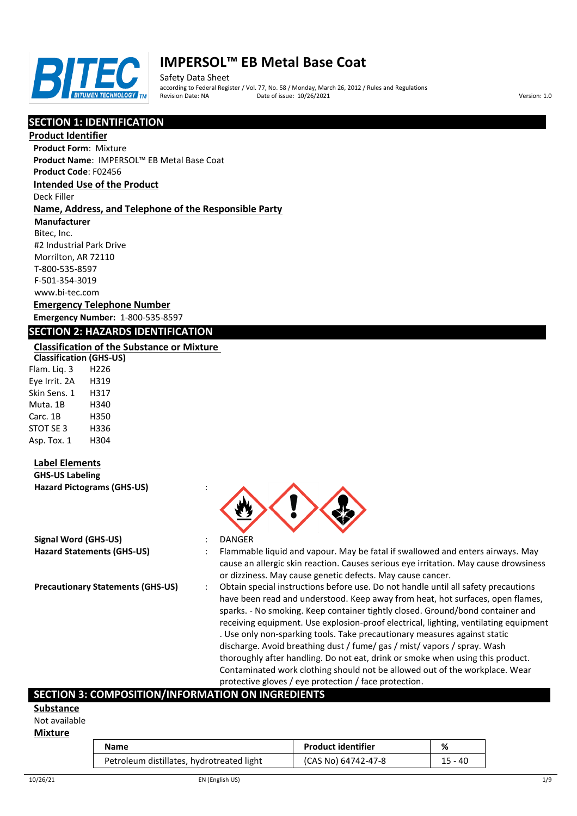

Safety Data Sheet according to Federal Register / Vol. 77, No. 58 / Monday, March 26, 2012 / Rules and Regulations Pate of issue: 10/26/2021 **Version: 1.0** 

# **SECTION 1: IDENTIFICATION**

#### **Product Identifier**

**Product Form**: Mixture

**Product Name**: IMPERSOL™ EB Metal Base Coat

**Product Code**: F02456

# **Intended Use of the Product**

Deck Filler

#### **Name, Address, and Telephone of the Responsible Party**

**Manufacturer**

Bitec, Inc. #2 Industrial Park Drive Morrilton, AR 72110 T-800-535-8597 F-501-354-3019 www.bi-tec.com

#### **Emergency Telephone Number Emergency Number:** 1-800-535-8597

# **SECTION 2: HAZARDS IDENTIFICATION**

#### **Classification of the Substance or Mixture**

**Classification (GHS-US)** Flam. Liq. 3 H226 Eye Irrit. 2A H319 Skin Sens. 1 H317 Muta. 1B H340 Carc. 1B H350 STOT SE 3 H336 Asp. Tox. 1 H304

## **Label Elements**

**GHS-US Labeling Hazard Pictograms (GHS-US)** :

| Signal Word (GHS-US)              |  |
|-----------------------------------|--|
| <b>Hazard Statements (GHS-US)</b> |  |

- 
- **Signal Word (GHS-US)** : DANGER
- **Hazard Statements (GHS-US)** : Flammable liquid and vapour. May be fatal if swallowed and enters airways. May cause an allergic skin reaction. Causes serious eye irritation. May cause drowsiness or dizziness. May cause genetic defects. May cause cancer.
- **Precautionary Statements (GHS-US)** : Obtain special instructions before use. Do not handle until all safety precautions have been read and understood. Keep away from heat, hot surfaces, open flames, sparks. - No smoking. Keep container tightly closed. Ground/bond container and receiving equipment. Use explosion-proof electrical, lighting, ventilating equipment . Use only non-sparking tools. Take precautionary measures against static discharge. Avoid breathing dust / fume/ gas / mist/ vapors / spray. Wash thoroughly after handling. Do not eat, drink or smoke when using this product. Contaminated work clothing should not be allowed out of the workplace. Wear protective gloves / eye protection / face protection.

## **SECTION 3: COMPOSITION/INFORMATION ON INGREDIENTS**

#### **Substance**

Not available

#### **Mixture**

| Name                                      | <b>Product identifier</b> | %         |
|-------------------------------------------|---------------------------|-----------|
| Petroleum distillates, hydrotreated light | (CAS No) 64742-47-8       | $15 - 40$ |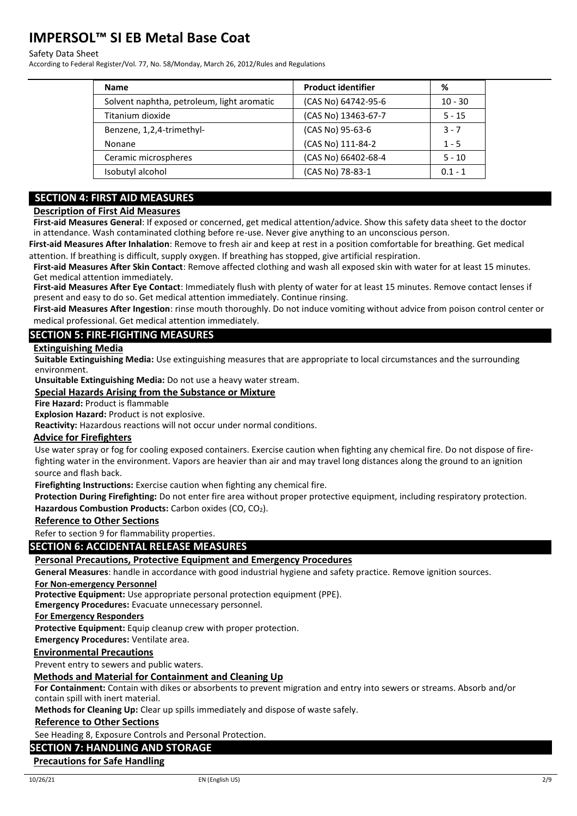#### Safety Data Sheet

According to Federal Register/Vol. 77, No. 58/Monday, March 26, 2012/Rules and Regulations

| <b>Name</b>                                | <b>Product identifier</b> | %         |
|--------------------------------------------|---------------------------|-----------|
| Solvent naphtha, petroleum, light aromatic | (CAS No) 64742-95-6       | $10 - 30$ |
| Titanium dioxide                           | (CAS No) 13463-67-7       | $5 - 15$  |
| Benzene, 1,2,4-trimethyl-                  | (CAS No) 95-63-6          | $3 - 7$   |
| Nonane                                     | (CAS No) 111-84-2         | $1 - 5$   |
| Ceramic microspheres                       | (CAS No) 66402-68-4       | $5 - 10$  |
| Isobutyl alcohol                           | (CAS No) 78-83-1          | $0.1 - 1$ |

# **SECTION 4: FIRST AID MEASURES**

#### **Description of First Aid Measures**

**First-aid Measures General**: If exposed or concerned, get medical attention/advice. Show this safety data sheet to the doctor in attendance. Wash contaminated clothing before re-use. Never give anything to an unconscious person.

**First-aid Measures After Inhalation**: Remove to fresh air and keep at rest in a position comfortable for breathing. Get medical attention. If breathing is difficult, supply oxygen. If breathing has stopped, give artificial respiration.

**First-aid Measures After Skin Contact**: Remove affected clothing and wash all exposed skin with water for at least 15 minutes. Get medical attention immediately.

**First-aid Measures After Eye Contact**: Immediately flush with plenty of water for at least 15 minutes. Remove contact lenses if present and easy to do so. Get medical attention immediately. Continue rinsing.

**First-aid Measures After Ingestion**: rinse mouth thoroughly. Do not induce vomiting without advice from poison control center or medical professional. Get medical attention immediately.

#### **SECTION 5: FIRE-FIGHTING MEASURES**

#### **Extinguishing Media**

**Suitable Extinguishing Media:** Use extinguishing measures that are appropriate to local circumstances and the surrounding environment.

**Unsuitable Extinguishing Media:** Do not use a heavy water stream.

#### **Special Hazards Arising from the Substance or Mixture**

#### **Fire Hazard:** Product is flammable

**Explosion Hazard:** Product is not explosive.

**Reactivity:** Hazardous reactions will not occur under normal conditions.

#### **Advice for Firefighters**

Use water spray or fog for cooling exposed containers. Exercise caution when fighting any chemical fire. Do not dispose of firefighting water in the environment. Vapors are heavier than air and may travel long distances along the ground to an ignition source and flash back.

**Firefighting Instructions:** Exercise caution when fighting any chemical fire.

**Protection During Firefighting:** Do not enter fire area without proper protective equipment, including respiratory protection. Hazardous Combustion Products: Carbon oxides (CO, CO<sub>2</sub>).

#### **Reference to Other Sections**

Refer to section 9 for flammability properties.

## **SECTION 6: ACCIDENTAL RELEASE MEASURES**

#### **Personal Precautions, Protective Equipment and Emergency Procedures**

**General Measures**: handle in accordance with good industrial hygiene and safety practice. Remove ignition sources.

#### **For Non-emergency Personnel**

**Protective Equipment:** Use appropriate personal protection equipment (PPE).

**Emergency Procedures:** Evacuate unnecessary personnel.

**For Emergency Responders**

**Protective Equipment:** Equip cleanup crew with proper protection.

**Emergency Procedures:** Ventilate area.

#### **Environmental Precautions**

Prevent entry to sewers and public waters.

#### **Methods and Material for Containment and Cleaning Up**

**For Containment:** Contain with dikes or absorbents to prevent migration and entry into sewers or streams. Absorb and/or contain spill with inert material.

**Methods for Cleaning Up:** Clear up spills immediately and dispose of waste safely.

#### **Reference to Other Sections**

See Heading 8, Exposure Controls and Personal Protection.

#### **SECTION 7: HANDLING AND STORAGE**

### **Precautions for Safe Handling**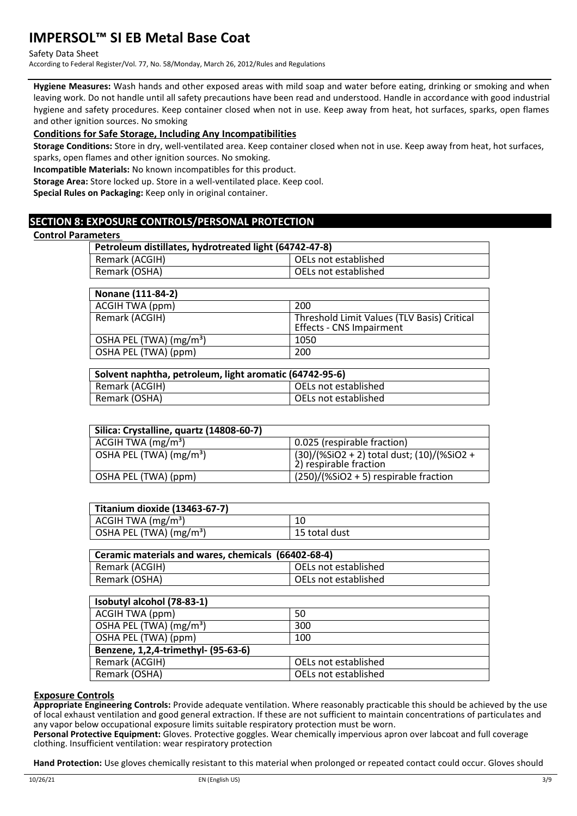Safety Data Sheet

According to Federal Register/Vol. 77, No. 58/Monday, March 26, 2012/Rules and Regulations

**Hygiene Measures:** Wash hands and other exposed areas with mild soap and water before eating, drinking or smoking and when leaving work. Do not handle until all safety precautions have been read and understood. Handle in accordance with good industrial hygiene and safety procedures. Keep container closed when not in use. Keep away from heat, hot surfaces, sparks, open flames and other ignition sources. No smoking

#### **Conditions for Safe Storage, Including Any Incompatibilities**

**Storage Conditions:** Store in dry, well-ventilated area. Keep container closed when not in use. Keep away from heat, hot surfaces, sparks, open flames and other ignition sources. No smoking.

**Incompatible Materials:** No known incompatibles for this product.

**Storage Area:** Store locked up. Store in a well-ventilated place. Keep cool.

**Special Rules on Packaging:** Keep only in original container.

# **SECTION 8: EXPOSURE CONTROLS/PERSONAL PROTECTION**

#### **Control Parameters**

| .                                                      |                      |  |
|--------------------------------------------------------|----------------------|--|
| Petroleum distillates, hydrotreated light (64742-47-8) |                      |  |
| Remark (ACGIH)                                         | OELs not established |  |
| Remark (OSHA)                                          | OELs not established |  |
|                                                        |                      |  |

| Nonane (111-84-2)                   |                                                                         |
|-------------------------------------|-------------------------------------------------------------------------|
| ACGIH TWA (ppm)                     | 200                                                                     |
| Remark (ACGIH)                      | Threshold Limit Values (TLV Basis) Critical<br>Effects - CNS Impairment |
| OSHA PEL (TWA) (mg/m <sup>3</sup> ) | 1050                                                                    |
| OSHA PEL (TWA) (ppm)                | 200                                                                     |

| Solvent naphtha, petroleum, light aromatic (64742-95-6) |                      |  |
|---------------------------------------------------------|----------------------|--|
| Remark (ACGIH)                                          | OELs not established |  |
| Remark (OSHA)                                           | OELs not established |  |

| Silica: Crystalline, quartz (14808-60-7) |                                                                            |
|------------------------------------------|----------------------------------------------------------------------------|
| ACGIH TWA $(mg/m3)$                      | 0.025 (respirable fraction)                                                |
| OSHA PEL (TWA) (mg/m <sup>3</sup> )      | $(30)/($ %SiO2 + 2) total dust; $(10)/($ %SiO2 +<br>2) respirable fraction |
| OSHA PEL (TWA) (ppm)                     | $(250)/(%SiO2 + 5)$ respirable fraction                                    |

| Titanium dioxide (13463-67-7)               |               |
|---------------------------------------------|---------------|
| $\vert$ ACGIH TWA (mg/m <sup>3</sup> )      |               |
| $\vert$ OSHA PEL (TWA) (mg/m <sup>3</sup> ) | 15 total dust |

| Ceramic materials and wares, chemicals (66402-68-4) |                        |  |
|-----------------------------------------------------|------------------------|--|
| Remark (ACGIH)                                      | l OELs not established |  |
| Remark (OSHA)                                       | OELs not established   |  |

| Isobutyl alcohol (78-83-1)          |                      |  |
|-------------------------------------|----------------------|--|
| ACGIH TWA (ppm)                     | 50                   |  |
| OSHA PEL (TWA) (mg/m <sup>3</sup> ) | 300                  |  |
| OSHA PEL (TWA) (ppm)                | 100                  |  |
| Benzene, 1,2,4-trimethyl- (95-63-6) |                      |  |
| Remark (ACGIH)                      | OELs not established |  |
| Remark (OSHA)                       | OELs not established |  |

#### **Exposure Controls**

**Appropriate Engineering Controls:** Provide adequate ventilation. Where reasonably practicable this should be achieved by the use of local exhaust ventilation and good general extraction. If these are not sufficient to maintain concentrations of particulates and any vapor below occupational exposure limits suitable respiratory protection must be worn.

**Personal Protective Equipment:** Gloves. Protective goggles. Wear chemically impervious apron over labcoat and full coverage clothing. Insufficient ventilation: wear respiratory protection

**Hand Protection:** Use gloves chemically resistant to this material when prolonged or repeated contact could occur. Gloves should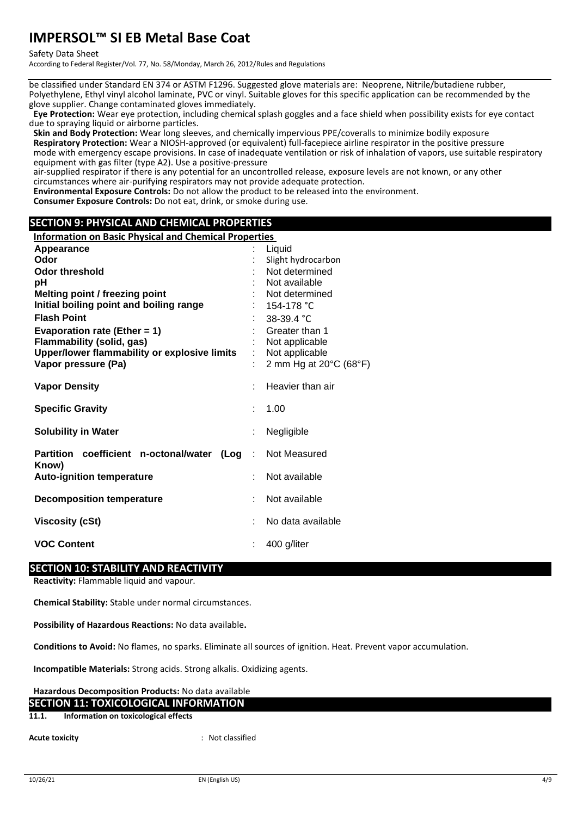#### Safety Data Sheet

According to Federal Register/Vol. 77, No. 58/Monday, March 26, 2012/Rules and Regulations

be classified under Standard EN 374 or ASTM F1296. Suggested glove materials are: Neoprene, Nitrile/butadiene rubber, Polyethylene, Ethyl vinyl alcohol laminate, PVC or vinyl. Suitable gloves for this specific application can be recommended by the glove supplier. Change contaminated gloves immediately.

**Eye Protection:** Wear eye protection, including chemical splash goggles and a face shield when possibility exists for eye contact due to spraying liquid or airborne particles.

**Skin and Body Protection:** Wear long sleeves, and chemically impervious PPE/coveralls to minimize bodily exposure **Respiratory Protection:** Wear a NIOSH-approved (or equivalent) full-facepiece airline respirator in the positive pressure mode with emergency escape provisions. In case of inadequate ventilation or risk of inhalation of vapors, use suitable respiratory equipment with gas filter (type A2). Use a positive-pressure

air-supplied respirator if there is any potential for an uncontrolled release, exposure levels are not known, or any other circumstances where air-purifying respirators may not provide adequate protection.

**Environmental Exposure Controls:** Do not allow the product to be released into the environment.

**Consumer Exposure Controls:** Do not eat, drink, or smoke during use.

# **SECTION 9: PHYSICAL AND CHEMICAL PROPERTIES**

| <b>Information on Basic Physical and Chemical Properties</b>        |                                  |
|---------------------------------------------------------------------|----------------------------------|
| Appearance                                                          | Liquid                           |
| Odor                                                                | Slight hydrocarbon               |
| <b>Odor threshold</b>                                               | Not determined                   |
| рH                                                                  | Not available                    |
| Melting point / freezing point                                      | Not determined                   |
| Initial boiling point and boiling range<br><b>Flash Point</b>       | 154-178 °C                       |
|                                                                     | 38-39.4 °C                       |
| Evaporation rate (Ether = $1$ )<br><b>Flammability (solid, gas)</b> | Greater than 1<br>Not applicable |
| Upper/lower flammability or explosive limits                        | Not applicable                   |
| Vapor pressure (Pa)                                                 | 2 mm Hg at 20°C (68°F)           |
|                                                                     |                                  |
| <b>Vapor Density</b>                                                | Heavier than air                 |
| <b>Specific Gravity</b>                                             | 1.00                             |
|                                                                     |                                  |
| <b>Solubility in Water</b>                                          | Negligible                       |
| Partition coefficient n-octonal/water<br>(Loq :                     | Not Measured                     |
| Know)                                                               |                                  |
| <b>Auto-ignition temperature</b>                                    | Not available                    |
| <b>Decomposition temperature</b>                                    | Not available                    |
| <b>Viscosity (cSt)</b>                                              | No data available                |
|                                                                     |                                  |
| <b>VOC Content</b>                                                  | 400 g/liter                      |
|                                                                     |                                  |

## **SECTION 10: STABILITY AND REACTIVITY**

**Reactivity:** Flammable liquid and vapour.

**Chemical Stability:** Stable under normal circumstances.

**Possibility of Hazardous Reactions:** No data available**.**

**Conditions to Avoid:** No flames, no sparks. Eliminate all sources of ignition. Heat. Prevent vapor accumulation.

**Incompatible Materials:** Strong acids. Strong alkalis. Oxidizing agents.

#### **Hazardous Decomposition Products:** No data available **SECTION 11: TOXICOLOGICAL INFORMATION**

**11.1. Information on toxicological effects**

**Acute toxicity** : Not classified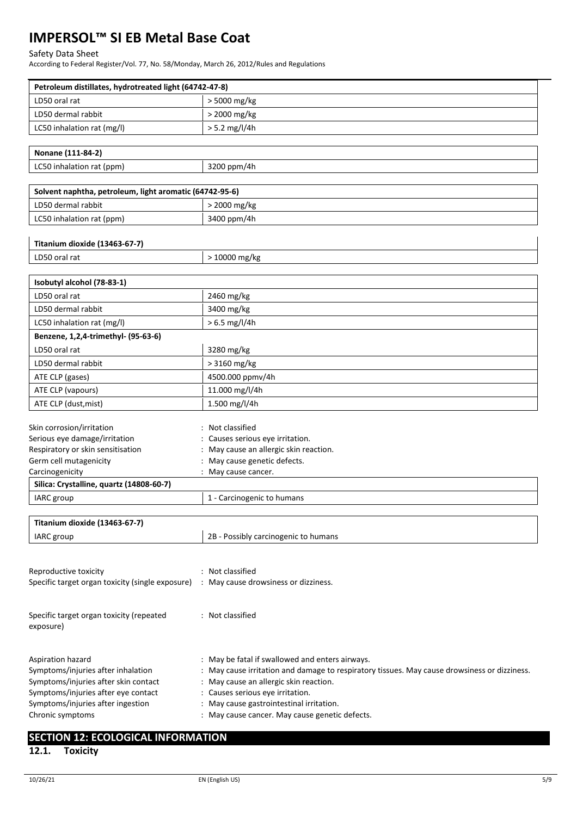#### Safety Data Sheet

According to Federal Register/Vol. 77, No. 58/Monday, March 26, 2012/Rules and Regulations

| Petroleum distillates, hydrotreated light (64742-47-8)  |                                                                                            |
|---------------------------------------------------------|--------------------------------------------------------------------------------------------|
| LD50 oral rat                                           | > 5000 mg/kg                                                                               |
| LD50 dermal rabbit                                      | > 2000 mg/kg                                                                               |
| LC50 inhalation rat (mg/l)                              | $> 5.2$ mg/l/4h                                                                            |
|                                                         |                                                                                            |
| Nonane (111-84-2)                                       |                                                                                            |
| LC50 inhalation rat (ppm)                               | 3200 ppm/4h                                                                                |
|                                                         |                                                                                            |
| Solvent naphtha, petroleum, light aromatic (64742-95-6) |                                                                                            |
| LD50 dermal rabbit                                      | > 2000 mg/kg                                                                               |
| LC50 inhalation rat (ppm)                               | 3400 ppm/4h                                                                                |
|                                                         |                                                                                            |
| Titanium dioxide (13463-67-7)                           |                                                                                            |
| LD50 oral rat                                           | > 10000 mg/kg                                                                              |
|                                                         |                                                                                            |
| Isobutyl alcohol (78-83-1)                              |                                                                                            |
| LD50 oral rat                                           | 2460 mg/kg                                                                                 |
| LD50 dermal rabbit                                      | 3400 mg/kg                                                                                 |
| LC50 inhalation rat (mg/l)                              | $> 6.5$ mg/l/4h                                                                            |
| Benzene, 1,2,4-trimethyl- (95-63-6)                     |                                                                                            |
| LD50 oral rat                                           | 3280 mg/kg                                                                                 |
| LD50 dermal rabbit                                      | > 3160 mg/kg                                                                               |
| ATE CLP (gases)                                         | 4500.000 ppmv/4h                                                                           |
| ATE CLP (vapours)                                       | 11.000 mg/l/4h                                                                             |
|                                                         |                                                                                            |
| ATE CLP (dust, mist)                                    | 1.500 mg/l/4h                                                                              |
| Skin corrosion/irritation                               | Not classified                                                                             |
| Serious eye damage/irritation                           | Causes serious eye irritation.                                                             |
| Respiratory or skin sensitisation                       | May cause an allergic skin reaction.                                                       |
| Germ cell mutagenicity                                  | : May cause genetic defects.                                                               |
| Carcinogenicity                                         | : May cause cancer.                                                                        |
| Silica: Crystalline, quartz (14808-60-7)                |                                                                                            |
| IARC group                                              | 1 - Carcinogenic to humans                                                                 |
|                                                         |                                                                                            |
| Titanium dioxide (13463-67-7)                           |                                                                                            |
| IARC group                                              | 2B - Possibly carcinogenic to humans                                                       |
|                                                         |                                                                                            |
| Reproductive toxicity                                   | : Not classified                                                                           |
| Specific target organ toxicity (single exposure)        | : May cause drowsiness or dizziness.                                                       |
|                                                         |                                                                                            |
|                                                         |                                                                                            |
| Specific target organ toxicity (repeated                | : Not classified                                                                           |
| exposure)                                               |                                                                                            |
|                                                         |                                                                                            |
| Aspiration hazard                                       | May be fatal if swallowed and enters airways.                                              |
| Symptoms/injuries after inhalation                      | May cause irritation and damage to respiratory tissues. May cause drowsiness or dizziness. |
| Symptoms/injuries after skin contact                    | : May cause an allergic skin reaction.                                                     |
| Symptoms/injuries after eye contact                     | : Causes serious eye irritation.                                                           |
| Symptoms/injuries after ingestion                       | May cause gastrointestinal irritation.                                                     |
| Chronic symptoms                                        | : May cause cancer. May cause genetic defects.                                             |
|                                                         |                                                                                            |
| <b>SECTION 12: ECOLOGICAL INFORMATION</b>               |                                                                                            |

# **12.1. Toxicity**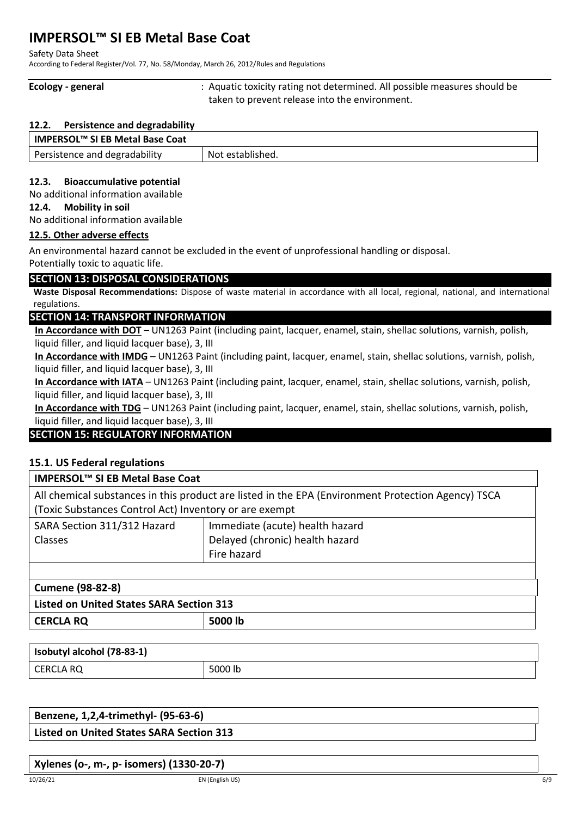Safety Data Sheet

According to Federal Register/Vol. 77, No. 58/Monday, March 26, 2012/Rules and Regulations

**Ecology - general** : Aquatic toxicity rating not determined. All possible measures should be taken to prevent release into the environment.

### **12.2. Persistence and degradability**

| IMPERSOL™ SI EB Metal Base Coat |                  |
|---------------------------------|------------------|
| Persistence and degradability   | Not established. |

# **12.3. Bioaccumulative potential**

No additional information available

#### **12.4. Mobility in soil**

No additional information available

## **12.5. Other adverse effects**

An environmental hazard cannot be excluded in the event of unprofessional handling or disposal. Potentially toxic to aquatic life.

# **SECTION 13: DISPOSAL CONSIDERATIONS**

**Waste Disposal Recommendations:** Dispose of waste material in accordance with all local, regional, national, and international regulations.

# **SECTION 14: TRANSPORT INFORMATION**

**In Accordance with DOT** – UN1263 Paint (including paint, lacquer, enamel, stain, shellac solutions, varnish, polish, liquid filler, and liquid lacquer base), 3, III

**In Accordance with IMDG** – UN1263 Paint (including paint, lacquer, enamel, stain, shellac solutions, varnish, polish, liquid filler, and liquid lacquer base), 3, III

**In Accordance with IATA** – UN1263 Paint (including paint, lacquer, enamel, stain, shellac solutions, varnish, polish, liquid filler, and liquid lacquer base), 3, III

**In Accordance with TDG** – UN1263 Paint (including paint, lacquer, enamel, stain, shellac solutions, varnish, polish, liquid filler, and liquid lacquer base), 3, III

# **SECTION 15: REGULATORY INFORMATION**

# **15.1. US Federal regulations**

| <b>IMPERSOL™ SI EB Metal Base Coat</b>                                                             |                                 |  |
|----------------------------------------------------------------------------------------------------|---------------------------------|--|
| All chemical substances in this product are listed in the EPA (Environment Protection Agency) TSCA |                                 |  |
| (Toxic Substances Control Act) Inventory or are exempt                                             |                                 |  |
| SARA Section 311/312 Hazard                                                                        | Immediate (acute) health hazard |  |
| Classes                                                                                            | Delayed (chronic) health hazard |  |
|                                                                                                    | Fire hazard                     |  |
|                                                                                                    |                                 |  |

# **Cumene (98-82-8)**

| Listed on United States SARA Section 313 |         |  |
|------------------------------------------|---------|--|
| <b>CERCLA RQ</b>                         | 5000 lb |  |

| Isobutyl alcohol (78-83-1) |         |
|----------------------------|---------|
| CERCLA RQ                  | 5000 lb |

| Benzene, 1,2,4-trimethyl- (95-63-6)             |  |
|-------------------------------------------------|--|
| <b>Listed on United States SARA Section 313</b> |  |

# **Xylenes (o-, m-, p- isomers) (1330-20-7)**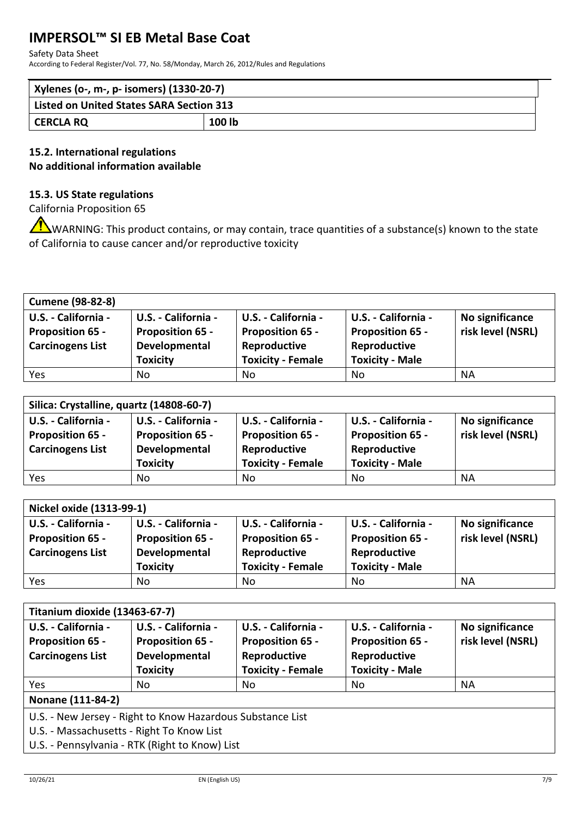#### Safety Data Sheet

According to Federal Register/Vol. 77, No. 58/Monday, March 26, 2012/Rules and Regulations

| Xylenes (o-, m-, p- isomers) (1330-20-7)        |        |  |
|-------------------------------------------------|--------|--|
| <b>Listed on United States SARA Section 313</b> |        |  |
| CERCLA RQ                                       | 100 lb |  |

# **15.2. International regulations No additional information available**

# **15.3. US State regulations**

California Proposition 65

WARNING: This product contains, or may contain, trace quantities of a substance(s) known to the state of California to cause cancer and/or reproductive toxicity

| <b>Cumene (98-82-8)</b> |                         |                          |                         |                   |
|-------------------------|-------------------------|--------------------------|-------------------------|-------------------|
| U.S. - California -     | U.S. - California -     | U.S. - California -      | U.S. - California -     | No significance   |
| <b>Proposition 65 -</b> | <b>Proposition 65 -</b> | <b>Proposition 65 -</b>  | <b>Proposition 65 -</b> | risk level (NSRL) |
| <b>Carcinogens List</b> | Developmental           | Reproductive             | Reproductive            |                   |
|                         | <b>Toxicity</b>         | <b>Toxicity - Female</b> | <b>Toxicity - Male</b>  |                   |
| Yes                     | No                      | No.                      | No                      | <b>NA</b>         |

| Silica: Crystalline, quartz (14808-60-7) |                         |                          |                         |                   |
|------------------------------------------|-------------------------|--------------------------|-------------------------|-------------------|
| U.S. - California -                      | U.S. - California -     | U.S. - California -      | U.S. - California -     | No significance   |
| <b>Proposition 65 -</b>                  | <b>Proposition 65 -</b> | <b>Proposition 65 -</b>  | <b>Proposition 65 -</b> | risk level (NSRL) |
| <b>Carcinogens List</b>                  | Developmental           | Reproductive             | Reproductive            |                   |
|                                          | <b>Toxicity</b>         | <b>Toxicity - Female</b> | <b>Toxicity - Male</b>  |                   |
| Yes                                      | No                      | No                       | No                      | NА                |

| Nickel oxide (1313-99-1) |                         |                          |                         |                   |
|--------------------------|-------------------------|--------------------------|-------------------------|-------------------|
| U.S. - California -      | U.S. - California -     | U.S. - California -      | U.S. - California -     | No significance   |
| <b>Proposition 65 -</b>  | <b>Proposition 65 -</b> | <b>Proposition 65 -</b>  | <b>Proposition 65 -</b> | risk level (NSRL) |
| <b>Carcinogens List</b>  | Developmental           | Reproductive             | Reproductive            |                   |
|                          | <b>Toxicity</b>         | <b>Toxicity - Female</b> | <b>Toxicity - Male</b>  |                   |
| <b>Yes</b>               | No                      | No                       | No                      | <b>NA</b>         |

| Titanium dioxide (13463-67-7)                                             |                                                                                                                                                           |                                                                                            |                                                                                          |                                      |
|---------------------------------------------------------------------------|-----------------------------------------------------------------------------------------------------------------------------------------------------------|--------------------------------------------------------------------------------------------|------------------------------------------------------------------------------------------|--------------------------------------|
| U.S. - California -<br><b>Proposition 65 -</b><br><b>Carcinogens List</b> | U.S. - California -<br><b>Proposition 65 -</b><br>Developmental<br><b>Toxicity</b>                                                                        | U.S. - California -<br><b>Proposition 65 -</b><br>Reproductive<br><b>Toxicity - Female</b> | U.S. - California -<br><b>Proposition 65 -</b><br>Reproductive<br><b>Toxicity - Male</b> | No significance<br>risk level (NSRL) |
| Yes                                                                       | No.                                                                                                                                                       | No                                                                                         | No                                                                                       | <b>NA</b>                            |
| Nonane (111-84-2)                                                         |                                                                                                                                                           |                                                                                            |                                                                                          |                                      |
|                                                                           | U.S. - New Jersey - Right to Know Hazardous Substance List<br>U.S. - Massachusetts - Right To Know List<br>U.S. - Pennsylvania - RTK (Right to Know) List |                                                                                            |                                                                                          |                                      |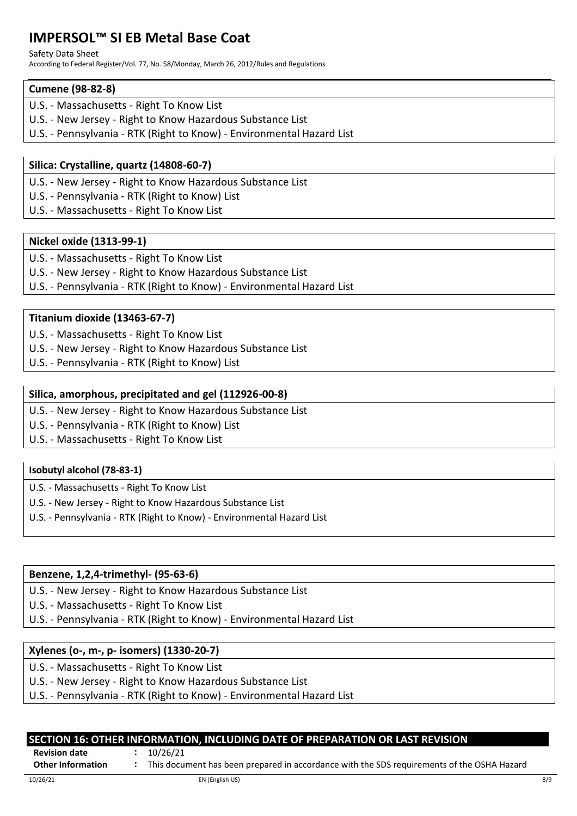#### Safety Data Sheet

According to Federal Register/Vol. 77, No. 58/Monday, March 26, 2012/Rules and Regulations

# **Cumene (98-82-8)**

- U.S. Massachusetts Right To Know List
- U.S. New Jersey Right to Know Hazardous Substance List
- U.S. Pennsylvania RTK (Right to Know) Environmental Hazard List

# **Silica: Crystalline, quartz (14808-60-7)**

- U.S. New Jersey Right to Know Hazardous Substance List
- U.S. Pennsylvania RTK (Right to Know) List
- U.S. Massachusetts Right To Know List

# **Nickel oxide (1313-99-1)**

- U.S. Massachusetts Right To Know List
- U.S. New Jersey Right to Know Hazardous Substance List
- U.S. Pennsylvania RTK (Right to Know) Environmental Hazard List

# **Titanium dioxide (13463-67-7)**

- U.S. Massachusetts Right To Know List
- U.S. New Jersey Right to Know Hazardous Substance List
- U.S. Pennsylvania RTK (Right to Know) List

# **Silica, amorphous, precipitated and gel (112926-00-8)**

- U.S. New Jersey Right to Know Hazardous Substance List
- U.S. Pennsylvania RTK (Right to Know) List
- U.S. Massachusetts Right To Know List

# **Isobutyl alcohol (78-83-1)**

- U.S. Massachusetts Right To Know List
- U.S. New Jersey Right to Know Hazardous Substance List
- U.S. Pennsylvania RTK (Right to Know) Environmental Hazard List

# **Benzene, 1,2,4-trimethyl- (95-63-6)**

- U.S. New Jersey Right to Know Hazardous Substance List
- U.S. Massachusetts Right To Know List
- U.S. Pennsylvania RTK (Right to Know) Environmental Hazard List

# **Xylenes (o-, m-, p- isomers) (1330-20-7)**

- U.S. Massachusetts Right To Know List
- U.S. New Jersey Right to Know Hazardous Substance List
- U.S. Pennsylvania RTK (Right to Know) Environmental Hazard List

|                                                  | SECTION 16: OTHER INFORMATION, INCLUDING DATE OF PREPARATION OR LAST REVISION                          |     |
|--------------------------------------------------|--------------------------------------------------------------------------------------------------------|-----|
| <b>Revision date</b><br><b>Other Information</b> | 10/26/21<br>This document has been prepared in accordance with the SDS requirements of the OSHA Hazard |     |
|                                                  |                                                                                                        |     |
| 10/26/21                                         | EN (English US)                                                                                        | 8/9 |